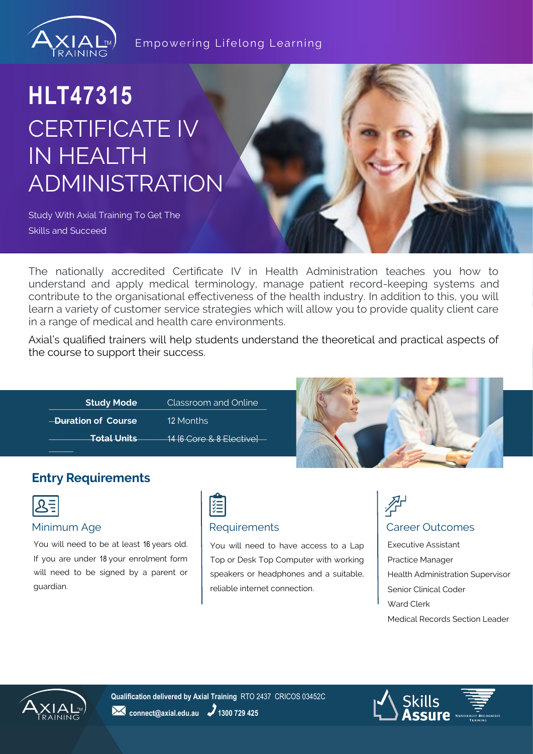

#### Empowering Lifelong Learning

# **HLT47315** CERTIFICATE IV IN HEALTH ADMINISTRATION

Study With Axial Training To Get The Skills and Succeed

The nationally accredited Certificate IV in Health Administration teaches you how to understand and apply medical terminology, manage patient record-keeping systems and contribute to the organisational effectiveness of the health industry. In addition to this, you will learn a variety of customer service strategies which will allow you to provide quality client care in a range of medical and health care environments.

Axial's qualified trainers will help students understand the theoretical and practical aspects of the course to support their success.

| <b>Study Mode</b>   | Classroom and Online      |
|---------------------|---------------------------|
| -Duration of Course | 12 Months                 |
| <b>Total Units</b>  | 14 [6 Core & 8 Elective]- |
|                     |                           |



### **Entry Requirements**

|--|

You will need to be at least 16 years old. If you are under 18 your enrolment form will need to be signed by a parent or guardian.



#### Minimum Age **Requirements Requirements Requirements Requirements Requirements**

You will need to have access to a Lap Top or Desk Top Computer with working speakers or headphones and a suitable, reliable internet connection.

# 孕

Executive Assistant Practice Manager Health Administration Supervisor Senior Clinical Coder Ward Clerk Medical Records Section Leader



**Qualification delivered by Axial Training** RTO 2437 CRICOS 03452C **24** connect@axial.edu.au **2** 1300 729 425